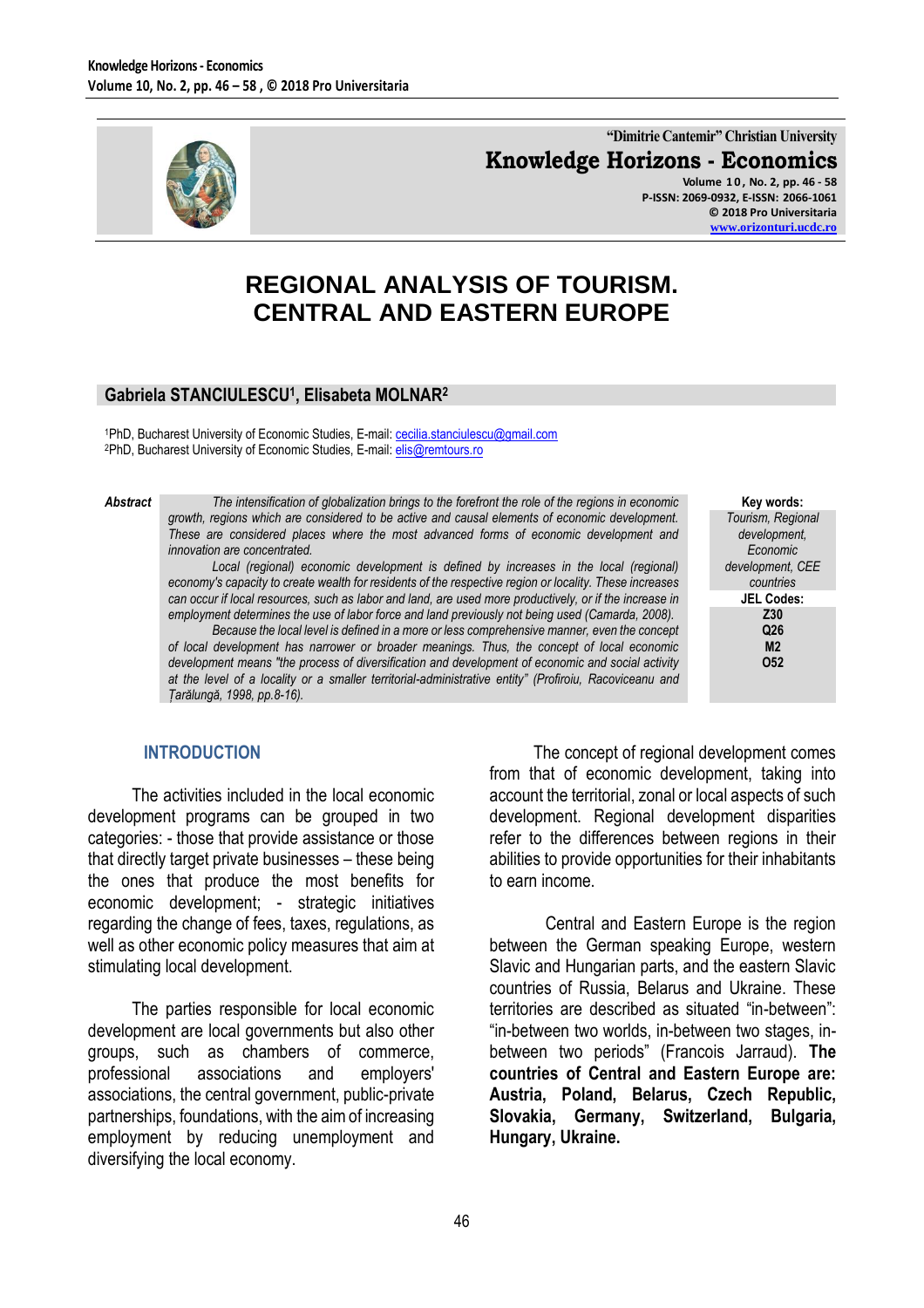

**"Dimitrie Cantemir" Christian University Knowledge Horizons - Economics Volume 1 0 , No. 2, pp. 46 - 58**

**P-ISSN: 2069-0932, E-ISSN: 2066-1061 © 2018 Pro Universitaria [www.orizonturi.ucdc.ro](http://www.orizonturi.ucdc.ro/)**

# **REGIONAL ANALYSIS OF TOURISM. CENTRAL AND EASTERN EUROPE**

#### **Gabriela STANCIULESCU<sup>1</sup> , Elisabeta MOLNAR<sup>2</sup>**

1PhD, Bucharest University of Economic Studies, E-mail: [cecilia.stanciulescu@gmail.com](mailto:cecilia.stanciulescu@gmail.com) <sup>2</sup>PhD, Bucharest University of Economic Studies, E-mail: *[elis@remtours.ro](mailto:elis@remtours.ro)* 

*Abstract The intensification of globalization brings to the forefront the role of the regions in economic growth, regions which are considered to be active and causal elements of economic development. These are considered places where the most advanced forms of economic development and innovation are concentrated.*

> Local (regional) economic development is defined by increases in the local (regional) *economy's capacity to create wealth for residents of the respective region or locality. These increases can occur if local resources, such as labor and land, are used more productively, or if the increase in employment determines the use of labor force and land previously not being used (Camarda, 2008).*

> *Because the local level is defined in a more or less comprehensive manner, even the concept of local development has narrower or broader meanings. Thus, the concept of local economic development means "the process of diversification and development of economic and social activity at the level of a locality or a smaller territorial-administrative entity" (Profiroiu, Racoviceanu and Țarălungă, 1998, pp.8-16).*

**Key words:** *Tourism, Regional development, Economic development, CEE countries* **JEL Codes: Z30 Q26 M2 O52**

#### **INTRODUCTION**

The activities included in the local economic development programs can be grouped in two categories: - those that provide assistance or those that directly target private businesses – these being the ones that produce the most benefits for economic development; - strategic initiatives regarding the change of fees, taxes, regulations, as well as other economic policy measures that aim at stimulating local development.

The parties responsible for local economic development are local governments but also other groups, such as chambers of commerce, professional associations and employers' associations, the central government, public-private partnerships, foundations, with the aim of increasing employment by reducing unemployment and diversifying the local economy.

The concept of regional development comes from that of economic development, taking into account the territorial, zonal or local aspects of such development. Regional development disparities refer to the differences between regions in their abilities to provide opportunities for their inhabitants to earn income.

Central and Eastern Europe is the region between the German speaking Europe, western Slavic and Hungarian parts, and the eastern Slavic countries of Russia, Belarus and Ukraine. These territories are described as situated "in-between": "in-between two worlds, in-between two stages, inbetween two periods" (Francois Jarraud). **The countries of Central and Eastern Europe are: Austria, Poland, Belarus, Czech Republic, Slovakia, Germany, Switzerland, Bulgaria, Hungary, Ukraine.**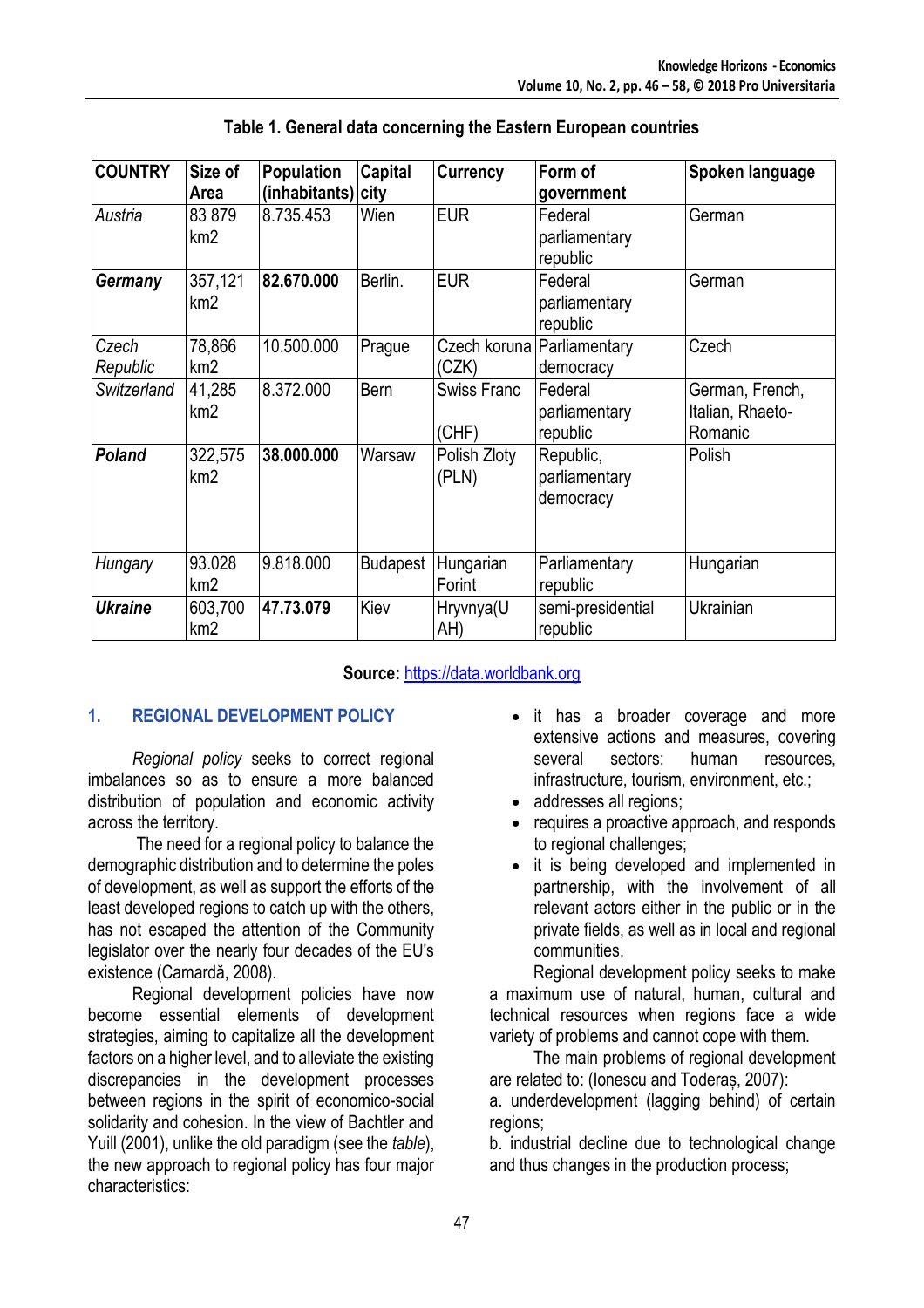| <b>COUNTRY</b>    | Size of<br>Area            | <b>Population</b><br>(inhabitants) city | Capital         | <b>Currency</b>             | Form of<br>government                   | Spoken language                                |
|-------------------|----------------------------|-----------------------------------------|-----------------|-----------------------------|-----------------------------------------|------------------------------------------------|
| Austria           | 83879<br>km <sub>2</sub>   | 8.735.453                               | Wien            | <b>EUR</b>                  | Federal<br>parliamentary<br>republic    | German                                         |
| <b>Germany</b>    | 357,121<br>km <sub>2</sub> | 82.670.000                              | Berlin.         | <b>EUR</b>                  | Federal<br>parliamentary<br>republic    | German                                         |
| Czech<br>Republic | 78,866<br>km <sub>2</sub>  | 10.500.000                              | Prague          | Czech koruna<br>(CZK)       | Parliamentary<br>democracy              | Czech                                          |
| Switzerland       | 41,285<br>km <sub>2</sub>  | 8.372.000                               | <b>Bern</b>     | <b>Swiss Franc</b><br>(CHF) | Federal<br>parliamentary<br>republic    | German, French,<br>Italian, Rhaeto-<br>Romanic |
| <b>Poland</b>     | 322,575<br>km <sub>2</sub> | 38.000.000                              | Warsaw          | Polish Zloty<br>(PLN)       | Republic,<br>parliamentary<br>democracy | Polish                                         |
| Hungary           | 93.028<br>km <sub>2</sub>  | 9.818.000                               | <b>Budapest</b> | Hungarian<br>Forint         | Parliamentary<br>republic               | Hungarian                                      |
| <b>Ukraine</b>    | 603,700<br>km <sub>2</sub> | 47.73.079                               | Kiev            | Hryvnya(U<br>AH)            | semi-presidential<br>republic           | Ukrainian                                      |

**Table 1. General data concerning the Eastern European countries**

## **Source:** [https://data.worldbank.org](https://data.worldbank.org/)

## **1. REGIONAL DEVELOPMENT POLICY**

*Regional policy* seeks to correct regional imbalances so as to ensure a more balanced distribution of population and economic activity across the territory.

The need for a regional policy to balance the demographic distribution and to determine the poles of development, as well as support the efforts of the least developed regions to catch up with the others, has not escaped the attention of the Community legislator over the nearly four decades of the EU's existence (Camardă, 2008).

Regional development policies have now become essential elements of development strategies, aiming to capitalize all the development factors on a higher level, and to alleviate the existing discrepancies in the development processes between regions in the spirit of economico-social solidarity and cohesion. In the view of Bachtler and Yuill (2001), unlike the old paradigm (see the *table*), the new approach to regional policy has four major characteristics:

- it has a broader coverage and more extensive actions and measures, covering several sectors: human resources, infrastructure, tourism, environment, etc.;
- addresses all regions;
- requires a proactive approach, and responds to regional challenges;
- it is being developed and implemented in partnership, with the involvement of all relevant actors either in the public or in the private fields, as well as in local and regional communities.

Regional development policy seeks to make a maximum use of natural, human, cultural and technical resources when regions face a wide variety of problems and cannot cope with them.

The main problems of regional development are related to: (Ionescu and Toderaș, 2007):

a. underdevelopment (lagging behind) of certain regions;

b. industrial decline due to technological change and thus changes in the production process;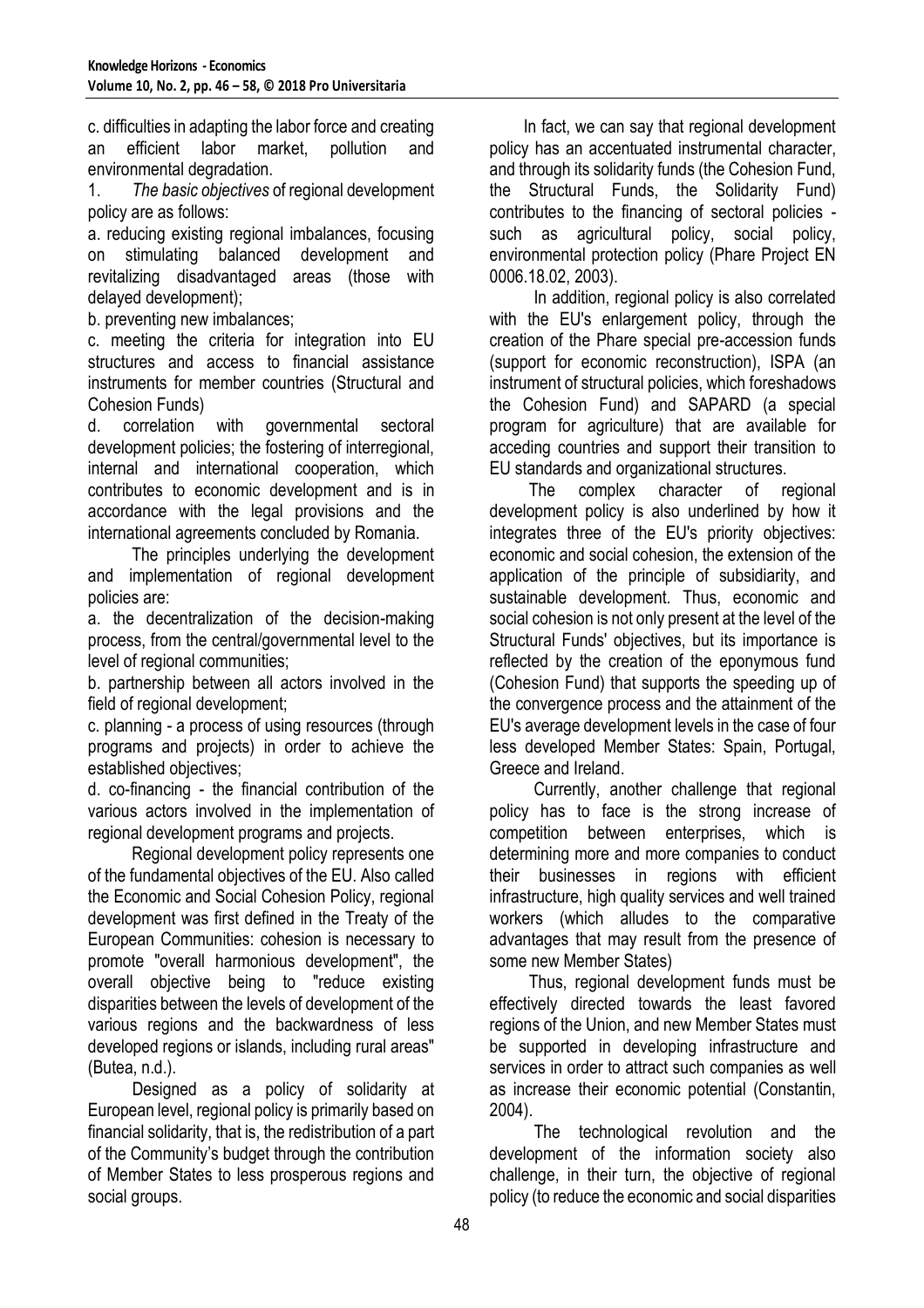c. difficulties in adapting the labor force and creating an efficient labor market, pollution and environmental degradation.

1. *The basic objectives* of regional development policy are as follows:

a. reducing existing regional imbalances, focusing on stimulating balanced development and revitalizing disadvantaged areas (those with delayed development);

b. preventing new imbalances;

c. meeting the criteria for integration into EU structures and access to financial assistance instruments for member countries (Structural and Cohesion Funds)

d. correlation with governmental sectoral development policies; the fostering of interregional, internal and international cooperation, which contributes to economic development and is in accordance with the legal provisions and the international agreements concluded by Romania.

The principles underlying the development and implementation of regional development policies are:

a. the decentralization of the decision-making process, from the central/governmental level to the level of regional communities;

b. partnership between all actors involved in the field of regional development;

c. planning - a process of using resources (through programs and projects) in order to achieve the established objectives;

d. co-financing - the financial contribution of the various actors involved in the implementation of regional development programs and projects.

Regional development policy represents one of the fundamental objectives of the EU. Also called the Economic and Social Cohesion Policy, regional development was first defined in the Treaty of the European Communities: cohesion is necessary to promote "overall harmonious development", the overall objective being to "reduce existing disparities between the levels of development of the various regions and the backwardness of less developed regions or islands, including rural areas" (Butea, n.d.).

Designed as a policy of solidarity at European level, regional policy is primarily based on financial solidarity, that is, the redistribution of a part of the Community's budget through the contribution of Member States to less prosperous regions and social groups.

 In fact, we can say that regional development policy has an accentuated instrumental character, and through its solidarity funds (the Cohesion Fund, the Structural Funds, the Solidarity Fund) contributes to the financing of sectoral policies such as agricultural policy, social policy, environmental protection policy (Phare Project EN 0006.18.02, 2003).

In addition, regional policy is also correlated with the EU's enlargement policy, through the creation of the Phare special pre-accession funds (support for economic reconstruction), ISPA (an instrument of structural policies, which foreshadows the Cohesion Fund) and SAPARD (a special program for agriculture) that are available for acceding countries and support their transition to EU standards and organizational structures.

 The complex character of regional development policy is also underlined by how it integrates three of the EU's priority objectives: economic and social cohesion, the extension of the application of the principle of subsidiarity, and sustainable development. Thus, economic and social cohesion is not only present at the level of the Structural Funds' objectives, but its importance is reflected by the creation of the eponymous fund (Cohesion Fund) that supports the speeding up of the convergence process and the attainment of the EU's average development levels in the case of four less developed Member States: Spain, Portugal, Greece and Ireland.

Currently, another challenge that regional policy has to face is the strong increase of competition between enterprises, which is determining more and more companies to conduct their businesses in regions with efficient infrastructure, high quality services and well trained workers (which alludes to the comparative advantages that may result from the presence of some new Member States)

 Thus, regional development funds must be effectively directed towards the least favored regions of the Union, and new Member States must be supported in developing infrastructure and services in order to attract such companies as well as increase their economic potential (Constantin, 2004).

The technological revolution and the development of the information society also challenge, in their turn, the objective of regional policy (to reduce the economic and social disparities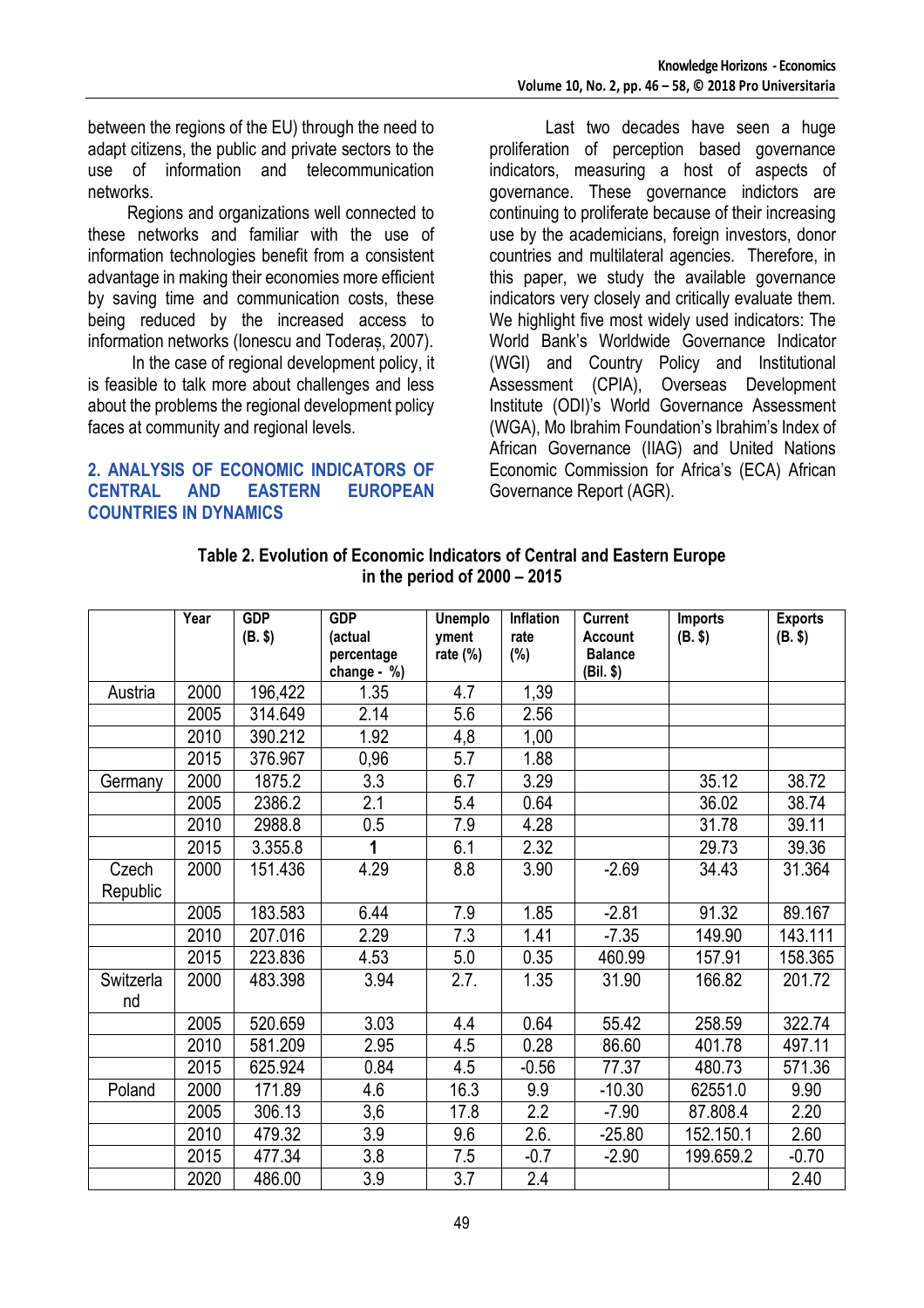between the regions of the EU) through the need to adapt citizens, the public and private sectors to the use of information and telecommunication networks.

 Regions and organizations well connected to these networks and familiar with the use of information technologies benefit from a consistent advantage in making their economies more efficient by saving time and communication costs, these being reduced by the increased access to information networks (Ionescu and Toderaș, 2007).

In the case of regional development policy, it is feasible to talk more about challenges and less about the problems the regional development policy faces at community and regional levels.

#### **2. ANALYSIS OF ECONOMIC INDICATORS OF CENTRAL AND EASTERN EUROPEAN COUNTRIES IN DYNAMICS**

Last two decades have seen a huge proliferation of perception based governance indicators, measuring a host of aspects of governance. These governance indictors are continuing to proliferate because of their increasing use by the academicians, foreign investors, donor countries and multilateral agencies. Therefore, in this paper, we study the available governance indicators very closely and critically evaluate them. We highlight five most widely used indicators: The World Bank's Worldwide Governance Indicator (WGI) and Country Policy and Institutional Assessment (CPIA), Overseas Development Institute (ODI)'s World Governance Assessment (WGA), Mo Ibrahim Foundation's Ibrahim's Index of African Governance (IIAG) and United Nations Economic Commission for Africa's (ECA) African Governance Report (AGR).

| Table 2. Evolution of Economic Indicators of Central and Eastern Europe |
|-------------------------------------------------------------------------|
| in the period of $2000 - 2015$                                          |

|                 | Year | <b>GDP</b><br>(B. \$) | <b>GDP</b><br>(actual<br>percentage<br>change - $%$ | <b>Unemplo</b><br>yment<br>rate $(\%)$ | <b>Inflation</b><br>rate<br>$(\%)$ | <b>Current</b><br><b>Account</b><br><b>Balance</b><br>(Bil. \$) | Imports<br>(B. \$) | <b>Exports</b><br>(B. \$) |
|-----------------|------|-----------------------|-----------------------------------------------------|----------------------------------------|------------------------------------|-----------------------------------------------------------------|--------------------|---------------------------|
| Austria         | 2000 | 196,422               | 1.35                                                | 4.7                                    | 1,39                               |                                                                 |                    |                           |
|                 | 2005 | 314.649               | 2.14                                                | 5.6                                    | 2.56                               |                                                                 |                    |                           |
|                 | 2010 | 390.212               | 1.92                                                | 4,8                                    | 1,00                               |                                                                 |                    |                           |
|                 | 2015 | 376.967               | 0,96                                                | 5.7                                    | 1.88                               |                                                                 |                    |                           |
| Germany         | 2000 | 1875.2                | 3.3                                                 | 6.7                                    | 3.29                               |                                                                 | 35.12              | 38.72                     |
|                 | 2005 | 2386.2                | 2.1                                                 | 5.4                                    | 0.64                               |                                                                 | 36.02              | 38.74                     |
|                 | 2010 | 2988.8                | 0.5                                                 | 7.9                                    | 4.28                               |                                                                 | 31.78              | 39.11                     |
|                 | 2015 | 3.355.8               | $\overline{\mathbf{1}}$                             | 6.1                                    | 2.32                               |                                                                 | 29.73              | 39.36                     |
| Czech           | 2000 | 151.436               | 4.29                                                | 8.8                                    | 3.90                               | $-2.69$                                                         | 34.43              | 31.364                    |
| Republic        |      |                       |                                                     |                                        |                                    |                                                                 |                    |                           |
|                 | 2005 | 183.583               | 6.44                                                | 7.9                                    | 1.85                               | $-2.81$                                                         | 91.32              | 89.167                    |
|                 | 2010 | 207.016               | 2.29                                                | 7.3                                    | 1.41                               | $-7.35$                                                         | 149.90             | 143.111                   |
|                 | 2015 | 223.836               | 4.53                                                | 5.0                                    | 0.35                               | 460.99                                                          | 157.91             | 158.365                   |
| Switzerla<br>nd | 2000 | 483.398               | 3.94                                                | 2.7.                                   | 1.35                               | 31.90                                                           | 166.82             | 201.72                    |
|                 | 2005 | 520.659               | 3.03                                                | 4.4                                    | 0.64                               | 55.42                                                           | 258.59             | 322.74                    |
|                 | 2010 | 581.209               | 2.95                                                | 4.5                                    | 0.28                               | 86.60                                                           | 401.78             | 497.11                    |
|                 | 2015 | 625.924               | 0.84                                                | 4.5                                    | $-0.56$                            | 77.37                                                           | 480.73             | 571.36                    |
| Poland          | 2000 | 171.89                | 4.6                                                 | 16.3                                   | 9.9                                | $-10.30$                                                        | 62551.0            | 9.90                      |
|                 | 2005 | 306.13                | 3,6                                                 | 17.8                                   | 2.2                                | $-7.90$                                                         | 87.808.4           | 2.20                      |
|                 | 2010 | 479.32                | $\overline{3.9}$                                    | 9.6                                    | 2.6.                               | $-25.80$                                                        | 152.150.1          | 2.60                      |
|                 | 2015 | 477.34                | 3.8                                                 | 7.5                                    | $-0.7$                             | $-2.90$                                                         | 199.659.2          | $-0.70$                   |
|                 | 2020 | 486.00                | 3.9                                                 | 3.7                                    | 2.4                                |                                                                 |                    | 2.40                      |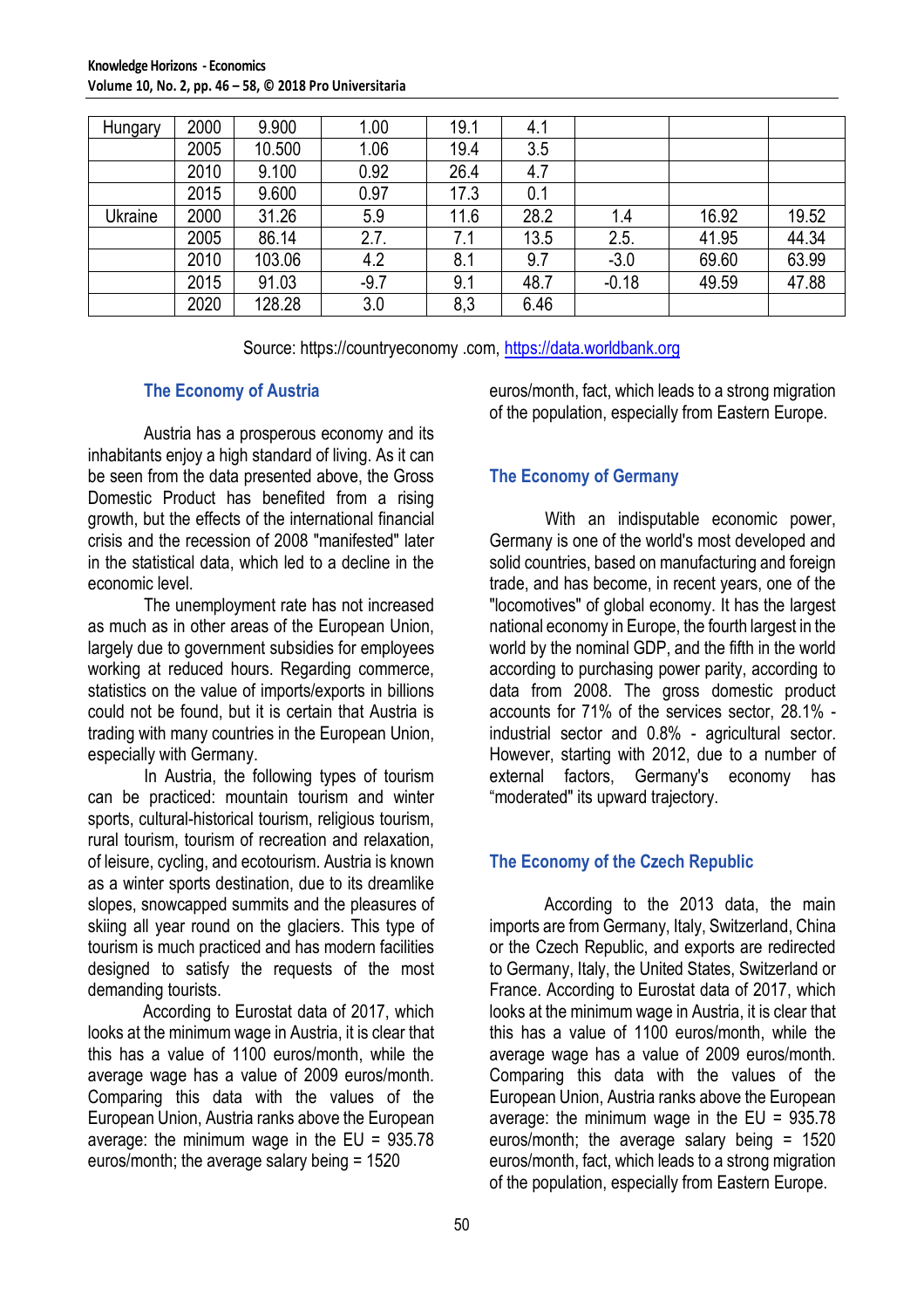| <b>Hungary</b> | 2000 | 9.900  | 1.00   | 19.1 | 4.1  |         |       |       |
|----------------|------|--------|--------|------|------|---------|-------|-------|
|                | 2005 | 10.500 | 1.06   | 19.4 | 3.5  |         |       |       |
|                | 2010 | 9.100  | 0.92   | 26.4 | 4.7  |         |       |       |
|                | 2015 | 9.600  | 0.97   | 17.3 | 0.1  |         |       |       |
| Ukraine        | 2000 | 31.26  | 5.9    | 11.6 | 28.2 | 1.4     | 16.92 | 19.52 |
|                | 2005 | 86.14  | 2.7.   | 7.1  | 13.5 | 2.5.    | 41.95 | 44.34 |
|                | 2010 | 103.06 | 4.2    | 8.1  | 9.7  | $-3.0$  | 69.60 | 63.99 |
|                | 2015 | 91.03  | $-9.7$ | 9.1  | 48.7 | $-0.18$ | 49.59 | 47.88 |
|                | 2020 | 128.28 | 3.0    | 8,3  | 6.46 |         |       |       |

Source: https://countryeconomy .com, [https://data.worldbank.org](https://data.worldbank.org/)

### **The Economy of Austria**

Austria has a prosperous economy and its inhabitants enjoy a high standard of living. As it can be seen from the data presented above, the Gross Domestic Product has benefited from a rising growth, but the effects of the international financial crisis and the recession of 2008 "manifested" later in the statistical data, which led to a decline in the economic level.

The unemployment rate has not increased as much as in other areas of the European Union, largely due to government subsidies for employees working at reduced hours. Regarding commerce, statistics on the value of imports/exports in billions could not be found, but it is certain that Austria is trading with many countries in the European Union, especially with Germany.

In Austria, the following types of tourism can be practiced: mountain tourism and winter sports, cultural-historical tourism, religious tourism, rural tourism, tourism of recreation and relaxation, of leisure, cycling, and ecotourism. Austria is known as a winter sports destination, due to its dreamlike slopes, snowcapped summits and the pleasures of skiing all year round on the glaciers. This type of tourism is much practiced and has modern facilities designed to satisfy the requests of the most demanding tourists.

According to Eurostat data of 2017, which looks at the minimum wage in Austria, it is clear that this has a value of 1100 euros/month, while the average wage has a value of 2009 euros/month. Comparing this data with the values of the European Union, Austria ranks above the European average: the minimum wage in the  $EU = 935.78$ euros/month; the average salary being = 1520

euros/month, fact, which leads to a strong migration of the population, especially from Eastern Europe.

## **The Economy of Germany**

With an indisputable economic power, Germany is one of the world's most developed and solid countries, based on manufacturing and foreign trade, and has become, in recent years, one of the "locomotives" of global economy. It has the largest national economy in Europe, the fourth largest in the world by the nominal GDP, and the fifth in the world according to purchasing power parity, according to data from 2008. The gross domestic product accounts for 71% of the services sector, 28.1% industrial sector and 0.8% - agricultural sector. However, starting with 2012, due to a number of external factors, Germany's economy has "moderated" its upward trajectory.

## **The Economy of the Czech Republic**

According to the 2013 data, the main imports are from Germany, Italy, Switzerland, China or the Czech Republic, and exports are redirected to Germany, Italy, the United States, Switzerland or France. According to Eurostat data of 2017, which looks at the minimum wage in Austria, it is clear that this has a value of 1100 euros/month, while the average wage has a value of 2009 euros/month. Comparing this data with the values of the European Union, Austria ranks above the European average: the minimum wage in the EU = 935.78 euros/month; the average salary being = 1520 euros/month, fact, which leads to a strong migration of the population, especially from Eastern Europe.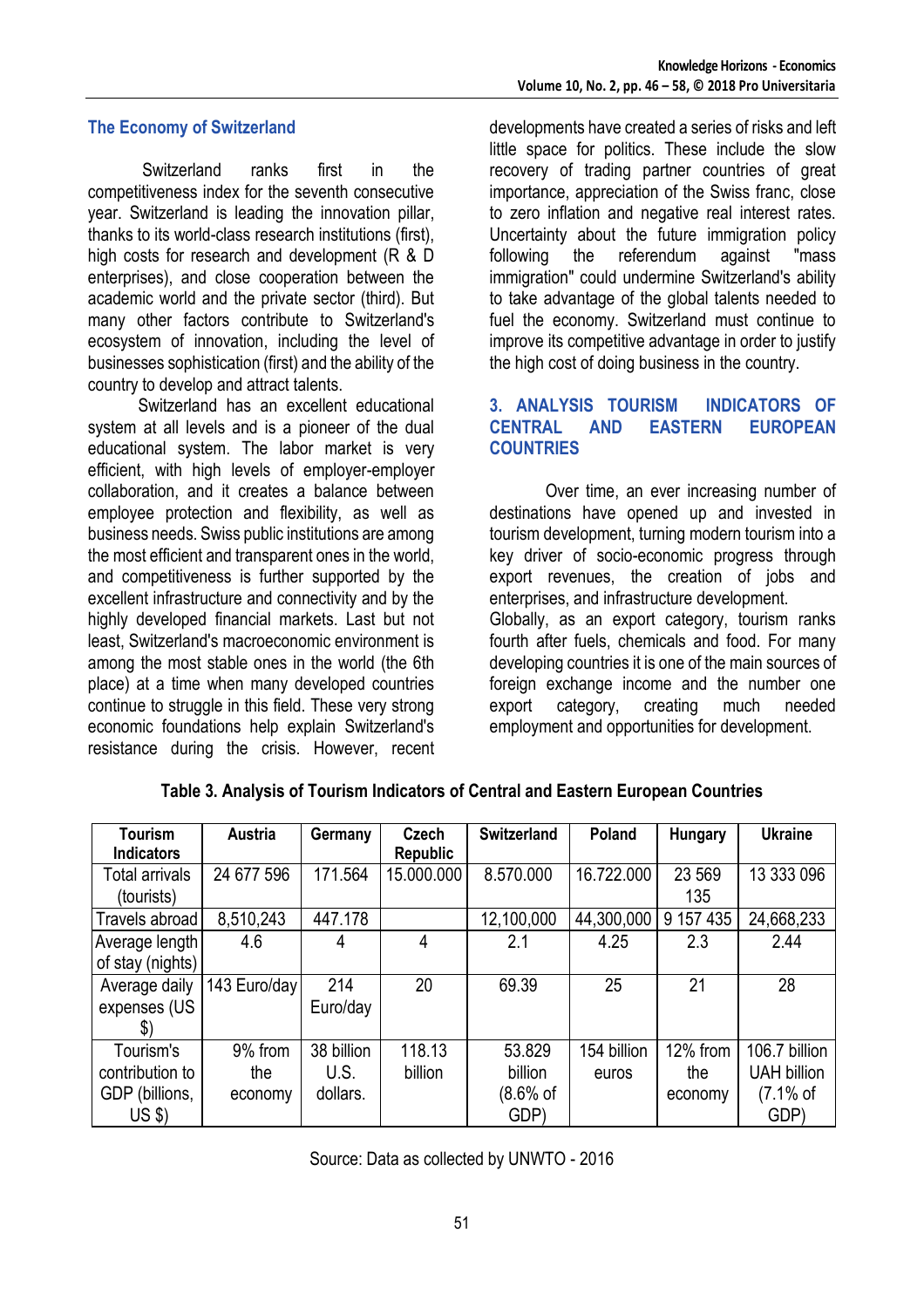#### **The Economy of Switzerland**

Switzerland ranks first in the competitiveness index for the seventh consecutive year. Switzerland is leading the innovation pillar, thanks to its world-class research institutions (first), high costs for research and development (R & D enterprises), and close cooperation between the academic world and the private sector (third). But many other factors contribute to Switzerland's ecosystem of innovation, including the level of businesses sophistication (first) and the ability of the country to develop and attract talents.

Switzerland has an excellent educational system at all levels and is a pioneer of the dual educational system. The labor market is very efficient, with high levels of employer-employer collaboration, and it creates a balance between employee protection and flexibility, as well as business needs. Swiss public institutions are among the most efficient and transparent ones in the world, and competitiveness is further supported by the excellent infrastructure and connectivity and by the highly developed financial markets. Last but not least, Switzerland's macroeconomic environment is among the most stable ones in the world (the 6th place) at a time when many developed countries continue to struggle in this field. These very strong economic foundations help explain Switzerland's resistance during the crisis. However, recent developments have created a series of risks and left little space for politics. These include the slow recovery of trading partner countries of great importance, appreciation of the Swiss franc, close to zero inflation and negative real interest rates. Uncertainty about the future immigration policy following the referendum against "mass immigration" could undermine Switzerland's ability to take advantage of the global talents needed to fuel the economy. Switzerland must continue to improve its competitive advantage in order to justify the high cost of doing business in the country.

#### **3. ANALYSIS TOURISM INDICATORS OF CENTRAL AND EASTERN EUROPEAN COUNTRIES**

Over time, an ever increasing number of destinations have opened up and invested in tourism development, turning modern tourism into a key driver of socio-economic progress through export revenues, the creation of jobs and enterprises, and infrastructure development. Globally, as an export category, tourism ranks fourth after fuels, chemicals and food. For many developing countries it is one of the main sources of foreign exchange income and the number one export category, creating much needed employment and opportunities for development.

| <b>Tourism</b><br><b>Indicators</b>        | <b>Austria</b> | Germany    | <b>Czech</b><br><b>Republic</b> | <b>Switzerland</b> | <b>Poland</b> | <b>Hungary</b> | <b>Ukraine</b>     |
|--------------------------------------------|----------------|------------|---------------------------------|--------------------|---------------|----------------|--------------------|
| 24 677 596<br>Total arrivals<br>(tourists) |                | 171.564    | 15.000.000                      | 8.570.000          | 16.722.000    | 23 5 69<br>135 | 13 333 096         |
| Travels abroad                             | 8,510,243      | 447.178    |                                 | 12,100,000         | 44,300,000    | 9 157 435      | 24,668,233         |
| Average length                             | 4.6            | 4          | 4                               | 2.1                | 4.25          | 2.3            | 2.44               |
| of stay (nights)                           |                |            |                                 |                    |               |                |                    |
| Average daily                              | 143 Euro/day   | 214        | 20                              | 69.39              | 25            | 21             | 28                 |
| expenses (US                               |                | Euro/day   |                                 |                    |               |                |                    |
| $\mathcal{L}$                              |                |            |                                 |                    |               |                |                    |
| Tourism's                                  | 9% from        | 38 billion | 118.13                          | 53.829             | 154 billion   | 12% from       | 106.7 billion      |
| contribution to                            | the            | U.S.       | billion                         | billion            | euros         | the            | <b>UAH billion</b> |
| GDP (billions,                             | economy        | dollars.   |                                 | $(8.6%$ of         |               | economy        | (7.1% of           |
| $US$ \$)                                   |                |            |                                 | GDP)               |               |                | GDP)               |

#### **Table 3. Analysis of Tourism Indicators of Central and Eastern European Countries**

Source: Data as collected by UNWTO - 2016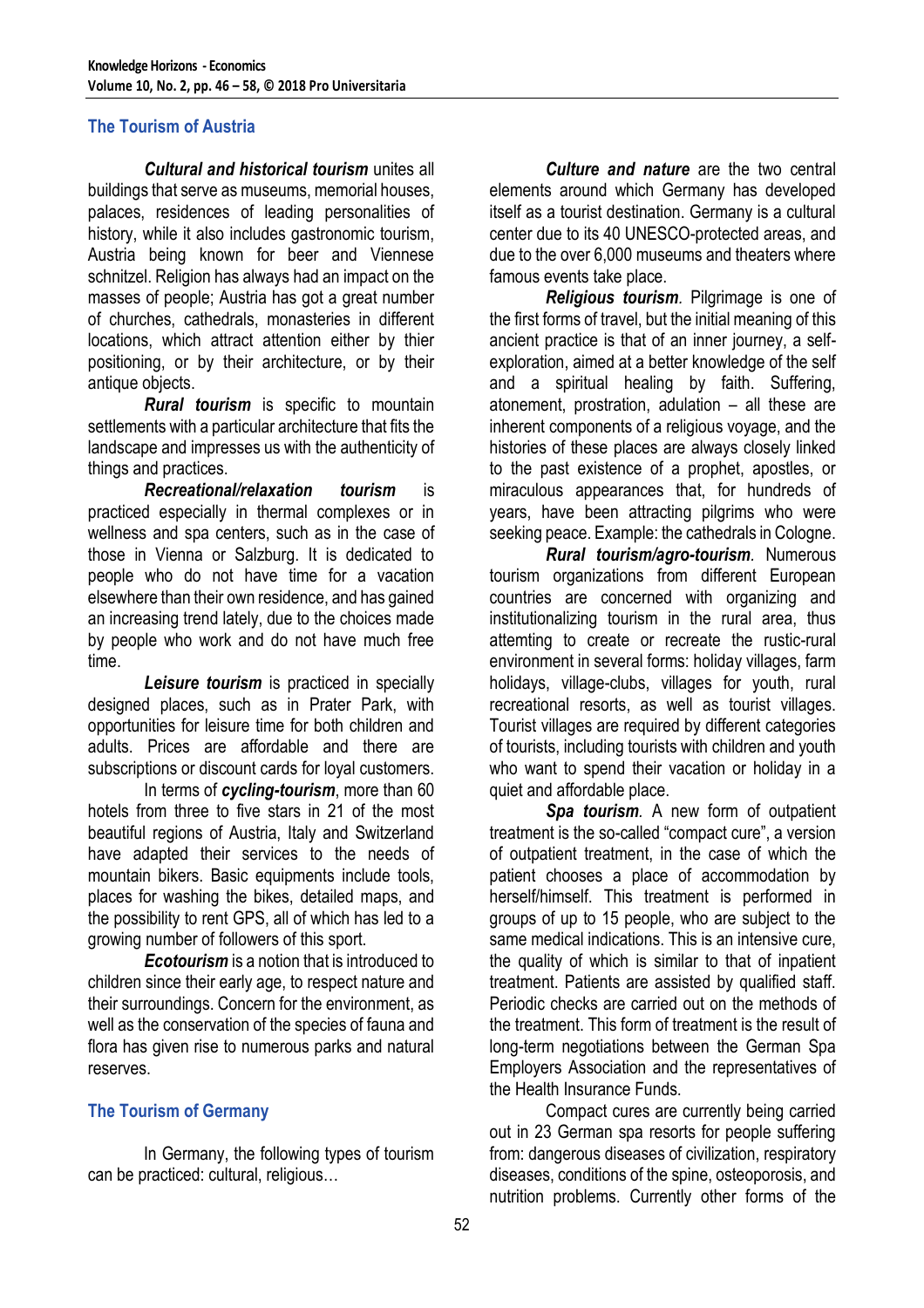### **The Tourism of Austria**

*Cultural and historical tourism* unites all buildings that serve as museums, memorial houses, palaces, residences of leading personalities of history, while it also includes gastronomic tourism, Austria being known for beer and Viennese schnitzel. Religion has always had an impact on the masses of people; Austria has got a great number of churches, cathedrals, monasteries in different locations, which attract attention either by thier positioning, or by their architecture, or by their antique objects.

*Rural tourism* is specific to mountain settlements with a particular architecture that fits the landscape and impresses us with the authenticity of things and practices.

*Recreational/relaxation tourism* is practiced especially in thermal complexes or in wellness and spa centers, such as in the case of those in Vienna or Salzburg. It is dedicated to people who do not have time for a vacation elsewhere than their own residence, and has gained an increasing trend lately, due to the choices made by people who work and do not have much free time.

*Leisure tourism* is practiced in specially designed places, such as in Prater Park, with opportunities for leisure time for both children and adults. Prices are affordable and there are subscriptions or discount cards for loyal customers.

In terms of *cycling-tourism*, more than 60 hotels from three to five stars in 21 of the most beautiful regions of Austria, Italy and Switzerland have adapted their services to the needs of mountain bikers. Basic equipments include tools, places for washing the bikes, detailed maps, and the possibility to rent GPS, all of which has led to a growing number of followers of this sport.

*Ecotourism* is a notion that is introduced to children since their early age, to respect nature and their surroundings. Concern for the environment, as well as the conservation of the species of fauna and flora has given rise to numerous parks and natural reserves.

## **The Tourism of Germany**

In Germany, the following types of tourism can be practiced: cultural, religious…

*Culture and nature* are the two central elements around which Germany has developed itself as a tourist destination. Germany is a cultural center due to its 40 UNESCO-protected areas, and due to the over 6,000 museums and theaters where famous events take place.

*Religious tourism.* Pilgrimage is one of the first forms of travel, but the initial meaning of this ancient practice is that of an inner journey, a selfexploration, aimed at a better knowledge of the self and a spiritual healing by faith. Suffering, atonement, prostration, adulation – all these are inherent components of a religious voyage, and the histories of these places are always closely linked to the past existence of a prophet, apostles, or miraculous appearances that, for hundreds of years, have been attracting pilgrims who were seeking peace. Example: the cathedrals in Cologne.

*Rural tourism/agro-tourism.* Numerous tourism organizations from different European countries are concerned with organizing and institutionalizing tourism in the rural area, thus attemting to create or recreate the rustic-rural environment in several forms: holiday villages, farm holidays, village-clubs, villages for youth, rural recreational resorts, as well as tourist villages. Tourist villages are required by different categories of tourists, including tourists with children and youth who want to spend their vacation or holiday in a quiet and affordable place.

*Spa tourism.* A new form of outpatient treatment is the so-called "compact cure", a version of outpatient treatment, in the case of which the patient chooses a place of accommodation by herself/himself. This treatment is performed in groups of up to 15 people, who are subject to the same medical indications. This is an intensive cure, the quality of which is similar to that of inpatient treatment. Patients are assisted by qualified staff. Periodic checks are carried out on the methods of the treatment. This form of treatment is the result of long-term negotiations between the German Spa Employers Association and the representatives of the Health Insurance Funds.

Compact cures are currently being carried out in 23 German spa resorts for people suffering from: dangerous diseases of civilization, respiratory diseases, conditions of the spine, osteoporosis, and nutrition problems. Currently other forms of the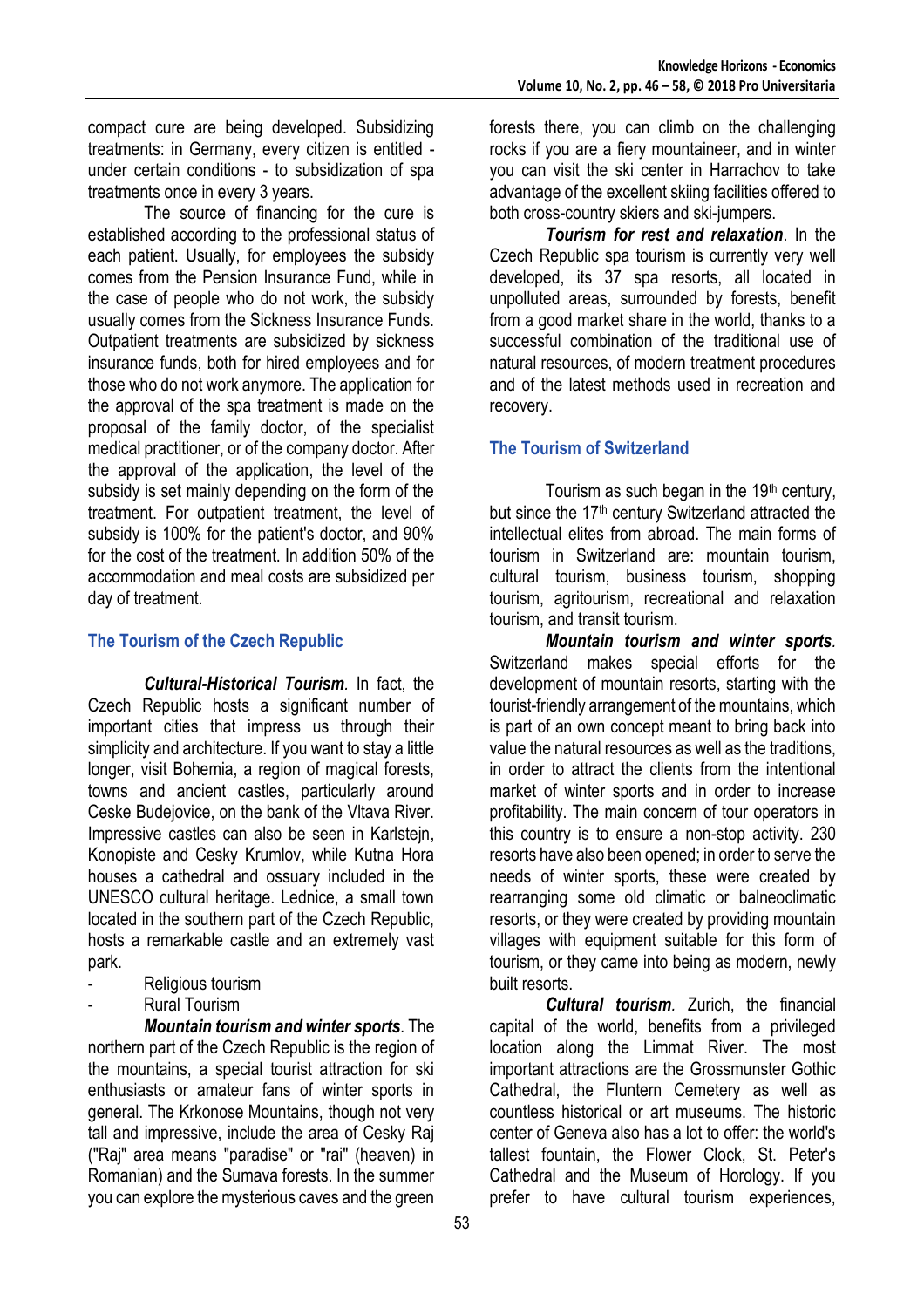compact cure are being developed. Subsidizing treatments: in Germany, every citizen is entitled under certain conditions - to subsidization of spa treatments once in every 3 years.

The source of financing for the cure is established according to the professional status of each patient. Usually, for employees the subsidy comes from the Pension Insurance Fund, while in the case of people who do not work, the subsidy usually comes from the Sickness Insurance Funds. Outpatient treatments are subsidized by sickness insurance funds, both for hired employees and for those who do not work anymore. The application for the approval of the spa treatment is made on the proposal of the family doctor, of the specialist medical practitioner, or of the company doctor. After the approval of the application, the level of the subsidy is set mainly depending on the form of the treatment. For outpatient treatment, the level of subsidy is 100% for the patient's doctor, and 90% for the cost of the treatment. In addition 50% of the accommodation and meal costs are subsidized per day of treatment.

#### **The Tourism of the Czech Republic**

*Cultural-Historical Tourism.* In fact, the Czech Republic hosts a significant number of important cities that impress us through their simplicity and architecture. If you want to stay a little longer, visit Bohemia, a region of magical forests, towns and ancient castles, particularly around Ceske Budejovice, on the bank of the Vltava River. Impressive castles can also be seen in Karlstejn, Konopiste and Cesky Krumlov, while Kutna Hora houses a cathedral and ossuary included in the UNESCO cultural heritage. Lednice, a small town located in the southern part of the Czech Republic, hosts a remarkable castle and an extremely vast park.

- Religious tourism
- Rural Tourism

*Mountain tourism and winter sports.* The northern part of the Czech Republic is the region of the mountains, a special tourist attraction for ski enthusiasts or amateur fans of winter sports in general. The Krkonose Mountains, though not very tall and impressive, include the area of Cesky Raj ("Raj" area means "paradise" or "rai" (heaven) in Romanian) and the Sumava forests. In the summer you can explore the mysterious caves and the green

forests there, you can climb on the challenging rocks if you are a fiery mountaineer, and in winter you can visit the ski center in Harrachov to take advantage of the excellent skiing facilities offered to both cross-country skiers and ski-jumpers.

*Tourism for rest and relaxation*. In the Czech Republic spa tourism is currently very well developed, its 37 spa resorts, all located in unpolluted areas, surrounded by forests, benefit from a good market share in the world, thanks to a successful combination of the traditional use of natural resources, of modern treatment procedures and of the latest methods used in recreation and recovery.

## **The Tourism of Switzerland**

Tourism as such began in the  $19<sup>th</sup>$  century, but since the 17<sup>th</sup> century Switzerland attracted the intellectual elites from abroad. The main forms of tourism in Switzerland are: mountain tourism, cultural tourism, business tourism, shopping tourism, agritourism, recreational and relaxation tourism, and transit tourism.

*Mountain tourism and winter sports.* Switzerland makes special efforts for the development of mountain resorts, starting with the tourist-friendly arrangement of the mountains, which is part of an own concept meant to bring back into value the natural resources as well as the traditions, in order to attract the clients from the intentional market of winter sports and in order to increase profitability. The main concern of tour operators in this country is to ensure a non-stop activity. 230 resorts have also been opened; in order to serve the needs of winter sports, these were created by rearranging some old climatic or balneoclimatic resorts, or they were created by providing mountain villages with equipment suitable for this form of tourism, or they came into being as modern, newly built resorts.

*Cultural tourism.* Zurich, the financial capital of the world, benefits from a privileged location along the Limmat River. The most important attractions are the Grossmunster Gothic Cathedral, the Fluntern Cemetery as well as countless historical or art museums. The historic center of Geneva also has a lot to offer: the world's tallest fountain, the Flower Clock, St. Peter's Cathedral and the Museum of Horology. If you prefer to have cultural tourism experiences,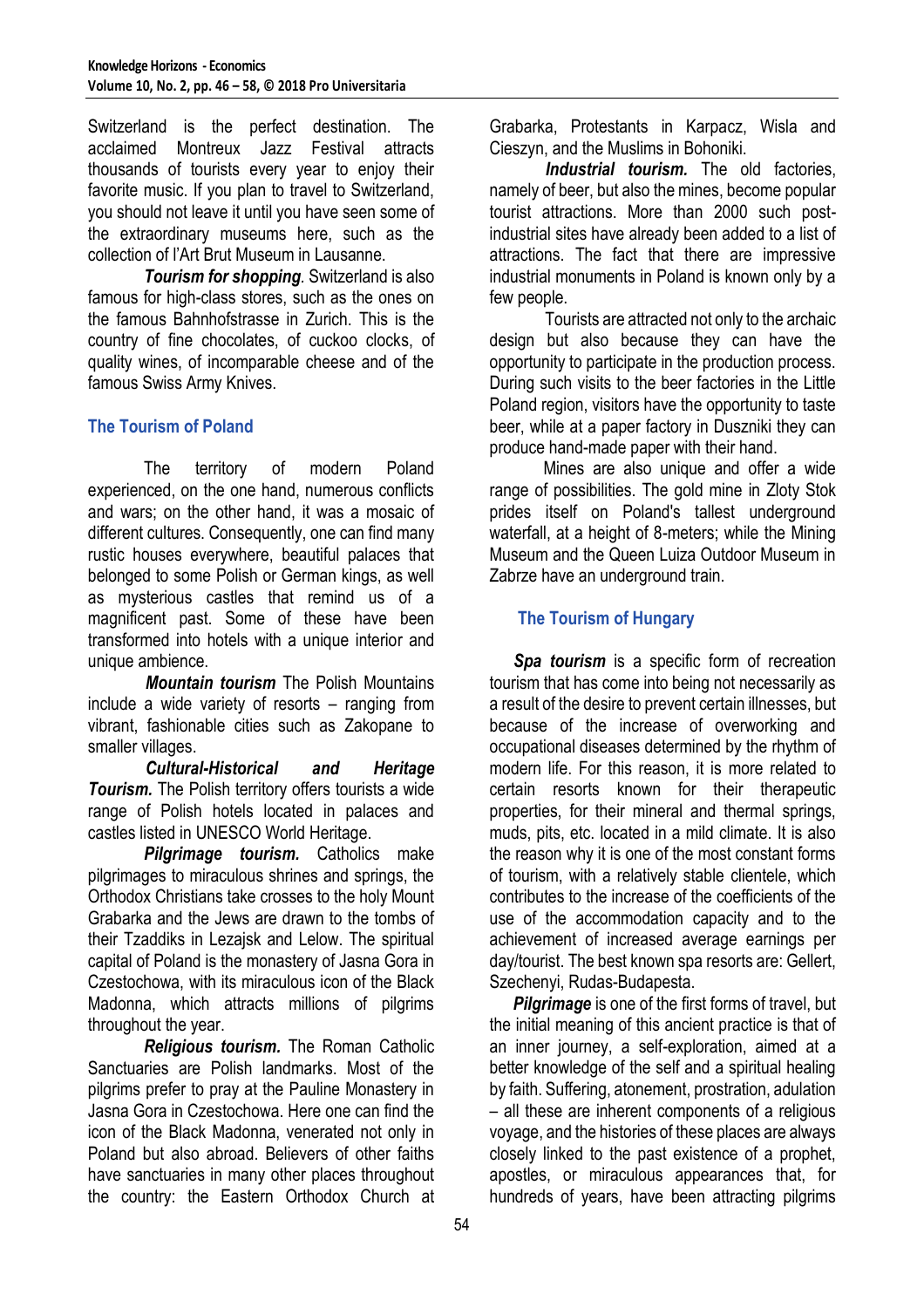Switzerland is the perfect destination. The acclaimed Montreux Jazz Festival attracts thousands of tourists every year to enjoy their favorite music. If you plan to travel to Switzerland, you should not leave it until you have seen some of the extraordinary museums here, such as the collection of l'Art Brut Museum in Lausanne.

*Tourism for shopping.* Switzerland is also famous for high-class stores, such as the ones on the famous Bahnhofstrasse in Zurich. This is the country of fine chocolates, of cuckoo clocks, of quality wines, of incomparable cheese and of the famous Swiss Army Knives.

## **The Tourism of Poland**

The territory of modern Poland experienced, on the one hand, numerous conflicts and wars; on the other hand, it was a mosaic of different cultures. Consequently, one can find many rustic houses everywhere, beautiful palaces that belonged to some Polish or German kings, as well as mysterious castles that remind us of a magnificent past. Some of these have been transformed into hotels with a unique interior and unique ambience.

*Mountain tourism* The Polish Mountains include a wide variety of resorts – ranging from vibrant, fashionable cities such as Zakopane to smaller villages.

*Cultural-Historical and Heritage Tourism.* The Polish territory offers tourists a wide range of Polish hotels located in palaces and castles listed in UNESCO World Heritage.

*Pilgrimage tourism.* Catholics make pilgrimages to miraculous shrines and springs, the Orthodox Christians take crosses to the holy Mount Grabarka and the Jews are drawn to the tombs of their Tzaddiks in Lezajsk and Lelow. The spiritual capital of Poland is [the monastery of Jasna Gora in](https://www.poland.travel/en/pilgrimage-tourism/czestochowa-spiritual-capital-of-poland-2)  [Czestochowa, w](https://www.poland.travel/en/pilgrimage-tourism/czestochowa-spiritual-capital-of-poland-2)ith its miraculous icon of the Black Madonna, which attracts millions of pilgrims throughout the year.

*Religious tourism.* The Roman Catholic Sanctuaries are Polish landmarks. Most of the pilgrims prefer to pray at the Pauline Monastery in Jasna Gora in Czestochowa. Here one can find the icon of the Black Madonna, venerated not only in Poland but also abroad. Believers of other faiths have sanctuaries in many other places throughout the country: the Eastern Orthodox Church at

Grabarka, Protestants in Karpacz, Wisla and Cieszyn, and the Muslims in Bohoniki.

*Industrial tourism.* The old factories, namely of beer, but also the mines, become popular tourist attractions. More than 2000 such postindustrial sites have already been added to a list of attractions. The fact that there are impressive industrial monuments in Poland is known only by a few people.

Tourists are attracted not only to the archaic design but also because they can have the opportunity to participate in the production process. During such visits to the beer factories in the Little Poland region, visitors have the opportunity to taste beer, while at a paper factory in Duszniki they can produce hand-made paper with their hand.

Mines are also unique and offer a wide range of possibilities. The gold mine in Zloty Stok prides itself on Poland's tallest underground waterfall, at a height of 8-meters; while the Mining Museum and the Queen Luiza Outdoor Museum in Zabrze have an underground train.

## **The Tourism of Hungary**

*Spa tourism* is a specific form of recreation tourism that has come into being not necessarily as a result of the desire to prevent certain illnesses, but because of the increase of overworking and occupational diseases determined by the rhythm of modern life. For this reason, it is more related to certain resorts known for their therapeutic properties, for their mineral and thermal springs, muds, pits, etc. located in a mild climate. It is also the reason why it is one of the most constant forms of tourism, with a relatively stable clientele, which contributes to the increase of the coefficients of the use of the accommodation capacity and to the achievement of increased average earnings per day/tourist. The best known spa resorts are: Gellert, Szechenyi, Rudas-Budapesta.

*Pilgrimage* is one of the first forms of travel, but the initial meaning of this ancient practice is that of an inner journey, a self-exploration, aimed at a better knowledge of the self and a spiritual healing by faith. Suffering, atonement, prostration, adulation – all these are inherent components of a religious voyage, and the histories of these places are always closely linked to the past existence of a prophet, apostles, or miraculous appearances that, for hundreds of years, have been attracting pilgrims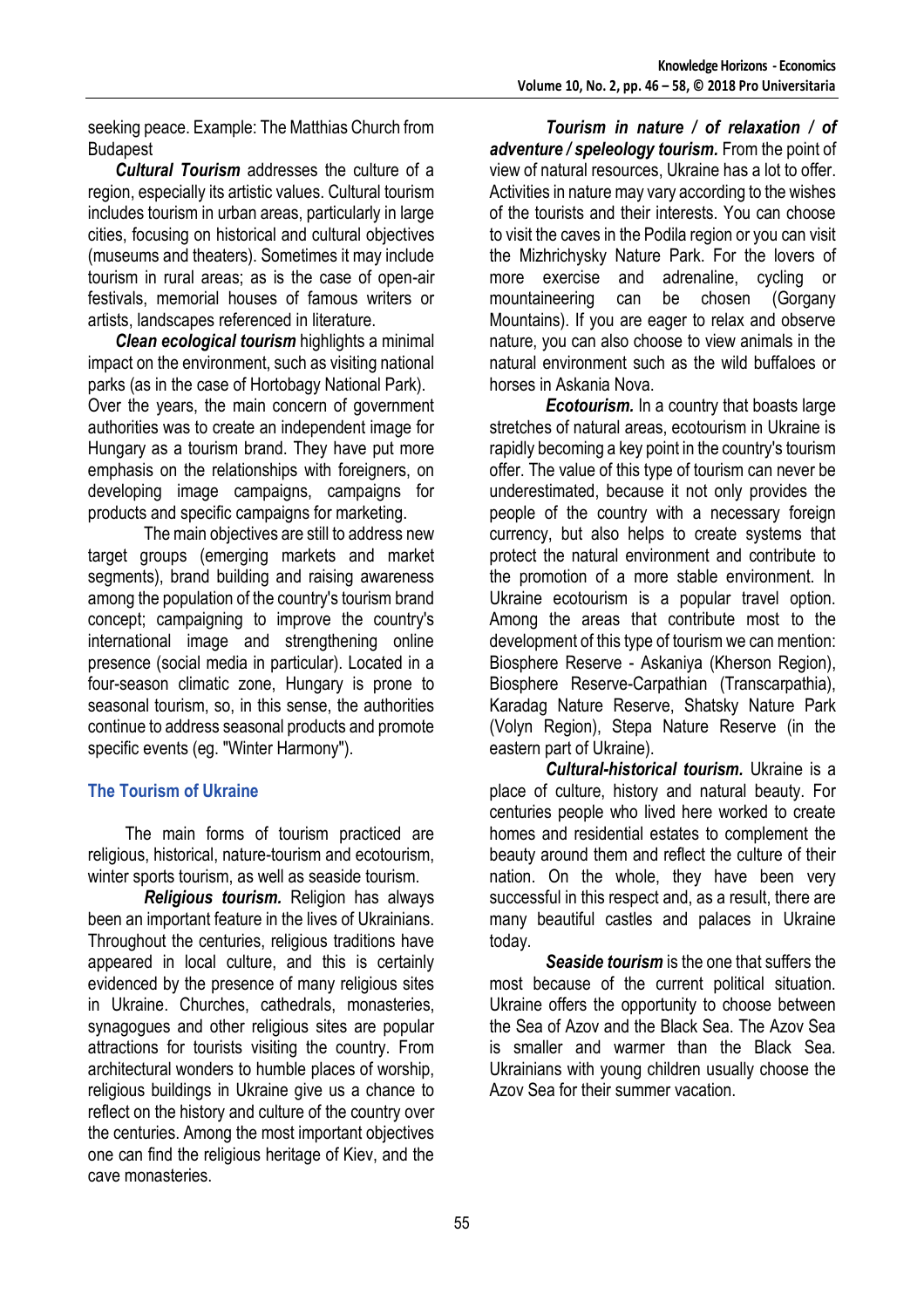seeking peace. Example: The Matthias Church from Budapest

*Cultural Tourism* addresses the culture of a region, especially its artistic values. Cultural tourism includes tourism in urban areas, particularly in large cities, focusing on historical and cultural objectives (museums and theaters). Sometimes it may include tourism in rural areas; as is the case of open-air festivals, memorial houses of famous writers or artists, landscapes referenced in literature.

*Clean ecological tourism* highlights a minimal impact on the environment, such as visiting national parks (as in the case of Hortobagy National Park). Over the years, the main concern of government authorities was to create an independent image for Hungary as a tourism brand. They have put more emphasis on the relationships with foreigners, on developing image campaigns, campaigns for products and specific campaigns for marketing.

The main objectives are still to address new target groups (emerging markets and market segments), brand building and raising awareness among the population of the country's tourism brand concept; campaigning to improve the country's international image and strengthening online presence (social media in particular). Located in a four-season climatic zone, Hungary is prone to seasonal tourism, so, in this sense, the authorities continue to address seasonal products and promote specific events (eg. "Winter Harmony").

## **The Tourism of Ukraine**

The main forms of tourism practiced are religious, historical, nature-tourism and ecotourism, winter sports tourism, as well as seaside tourism.

*Religious tourism.* Religion has always been an important feature in the lives of Ukrainians. Throughout the centuries, religious traditions have appeared in local culture, and this is certainly evidenced by the presence of many religious sites in Ukraine. Churches, cathedrals, monasteries, synagogues and other religious sites are popular attractions for tourists visiting the country. From architectural wonders to humble places of worship, religious buildings in Ukraine give us a chance to reflect on the history and culture of the country over the centuries. Among the most important objectives one can find the religious heritage of Kiev, and the cave monasteries.

*Tourism in nature / of relaxation / of adventure / speleology tourism.* From the point of view of natural resources, Ukraine has a lot to offer. Activities in nature may vary according to the wishes of the tourists and their interests. You can choose to visit the caves in the Podila region or you can visit the Mizhrichysky Nature Park. For the lovers of more exercise and adrenaline, cycling or mountaineering can be chosen (Gorgany Mountains). If you are eager to relax and observe nature, you can also choose to view animals in the natural environment such as the wild buffaloes or horses in Askania Nova.

*Ecotourism.* In a country that boasts large stretches of natural areas, ecotourism in Ukraine is rapidly becoming a key point in the country's tourism offer. The value of this type of tourism can never be underestimated, because it not only provides the people of the country with a necessary foreign currency, but also helps to create systems that protect the natural environment and contribute to the promotion of a more stable environment. In Ukraine ecotourism is a popular travel option. Among the areas that contribute most to the development of this type of tourism we can mention: Biosphere Reserve - Askaniya (Kherson Region), Biosphere Reserve-Carpathian (Transcarpathia), Karadag Nature Reserve, Shatsky Nature Park (Volyn Region), Stepa Nature Reserve (in the eastern part of Ukraine).

*Cultural-historical tourism.* Ukraine is a place of culture, history and natural beauty. For centuries people who lived here worked to create homes and residential estates to complement the beauty around them and reflect the culture of their nation. On the whole, they have been very successful in this respect and, as a result, there are many beautiful castles and palaces in Ukraine today.

*Seaside tourism* is the one that suffers the most because of the current political situation. Ukraine offers the opportunity to choose between the Sea of Azov and the Black Sea. The Azov Sea is smaller and warmer than the Black Sea. Ukrainians with young children usually choose the Azov Sea for their summer vacation.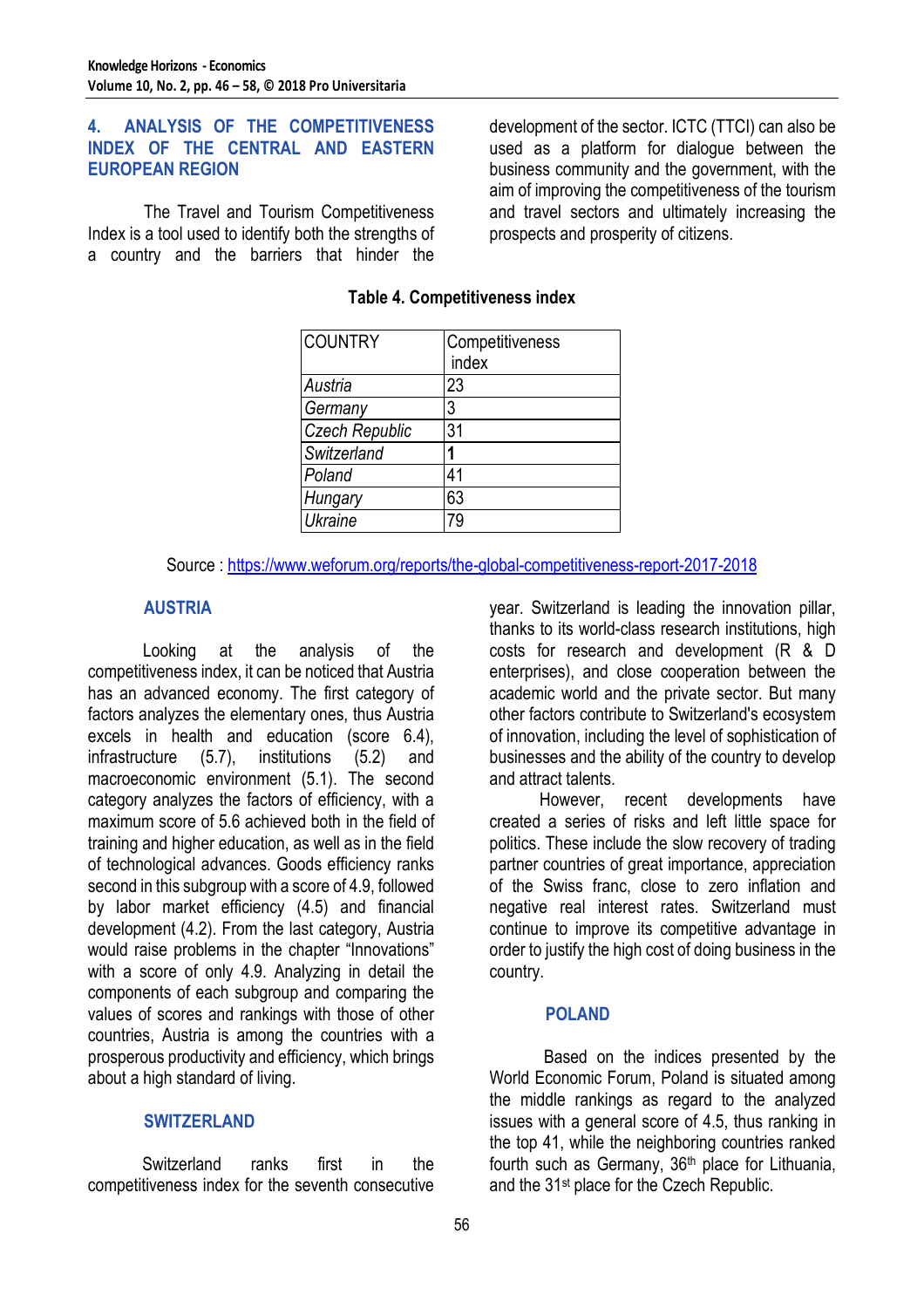#### **4. ANALYSIS OF THE COMPETITIVENESS INDEX OF THE CENTRAL AND EASTERN EUROPEAN REGION**

The Travel and Tourism Competitiveness Index is a tool used to identify both the strengths of a country and the barriers that hinder the development of the sector. ICTC (TTCI) can also be used as a platform for dialogue between the business community and the government, with the aim of improving the competitiveness of the tourism and travel sectors and ultimately increasing the prospects and prosperity of citizens.

| <b>COUNTRY</b>        | Competitiveness<br>index |
|-----------------------|--------------------------|
| Austria               | 23                       |
| Germany               | 3                        |
| <b>Czech Republic</b> | 31                       |
| Switzerland           |                          |
| Poland                | 41                       |
| Hungary               | 63                       |
| Ukraine               |                          |

#### **Table 4. Competitiveness index**

Source :<https://www.weforum.org/reports/the-global-competitiveness-report-2017-2018>

#### **AUSTRIA**

Looking at the analysis of the competitiveness index, it can be noticed that Austria has an advanced economy. The first category of factors analyzes the elementary ones, thus Austria excels in health and education (score 6.4), infrastructure (5.7), institutions (5.2) and macroeconomic environment (5.1). The second category analyzes the factors of efficiency, with a maximum score of 5.6 achieved both in the field of training and higher education, as well as in the field of technological advances. Goods efficiency ranks second in this subgroup with a score of 4.9, followed by labor market efficiency (4.5) and financial development (4.2). From the last category, Austria would raise problems in the chapter "Innovations" with a score of only 4.9. Analyzing in detail the components of each subgroup and comparing the values of scores and rankings with those of other countries, Austria is among the countries with a prosperous productivity and efficiency, which brings about a high standard of living.

#### **SWITZERLAND**

Switzerland ranks first in the competitiveness index for the seventh consecutive year. Switzerland is leading the innovation pillar, thanks to its world-class research institutions, high costs for research and development (R & D enterprises), and close cooperation between the academic world and the private sector. But many other factors contribute to Switzerland's ecosystem of innovation, including the level of sophistication of businesses and the ability of the country to develop and attract talents.

However, recent developments have created a series of risks and left little space for politics. These include the slow recovery of trading partner countries of great importance, appreciation of the Swiss franc, close to zero inflation and negative real interest rates. Switzerland must continue to improve its competitive advantage in order to justify the high cost of doing business in the country.

#### **POLAND**

Based on the indices presented by the World Economic Forum, Poland is situated among the middle rankings as regard to the analyzed issues with a general score of 4.5, thus ranking in the top 41, while the neighboring countries ranked fourth such as Germany, 36<sup>th</sup> place for Lithuania, and the 31st place for the Czech Republic.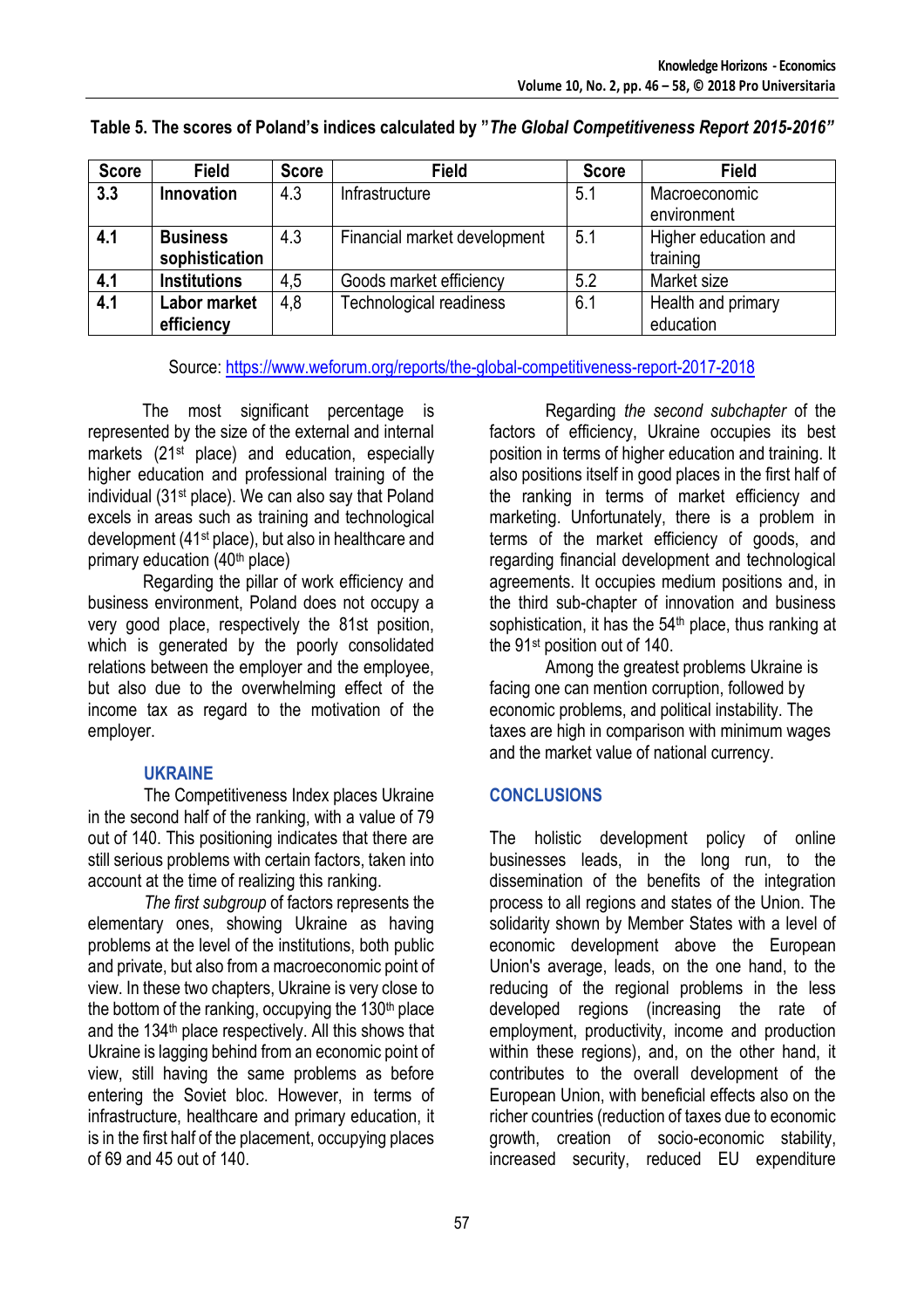| <b>Score</b> | <b>Field</b>        | <b>Score</b> | <b>Field</b>                   | <b>Score</b> | <b>Field</b>         |
|--------------|---------------------|--------------|--------------------------------|--------------|----------------------|
| 3.3          | 4.3<br>Innovation   |              | Infrastructure                 | 5.1          | Macroeconomic        |
|              |                     |              |                                |              | environment          |
| 4.1          | <b>Business</b>     | 4.3          | Financial market development   | 5.1          | Higher education and |
|              | sophistication      |              |                                |              | training             |
| 4.1          | <b>Institutions</b> | 4,5          | Goods market efficiency        | 5.2          | Market size          |
| 4.1          | <b>Labor market</b> | 4,8          | <b>Technological readiness</b> | 6.1          | Health and primary   |
|              | efficiency          |              |                                |              | education            |

#### **Table 5. The scores of Poland's indices calculated by "***The Global Competitiveness Report 2015-2016"*

Source:<https://www.weforum.org/reports/the-global-competitiveness-report-2017-2018>

The most significant percentage is represented by the size of the external and internal markets (21st place) and education, especially higher education and professional training of the individual (31st place). We can also say that Poland excels in areas such as training and technological development (41st place), but also in healthcare and primary education (40th place)

Regarding the pillar of work efficiency and business environment, Poland does not occupy a very good place, respectively the 81st position, which is generated by the poorly consolidated relations between the employer and the employee, but also due to the overwhelming effect of the income tax as regard to the motivation of the employer.

#### **UKRAINE**

The Competitiveness Index places Ukraine in the second half of the ranking, with a value of 79 out of 140. This positioning indicates that there are still serious problems with certain factors, taken into account at the time of realizing this ranking.

*The first subgroup* of factors represents the elementary ones, showing Ukraine as having problems at the level of the institutions, both public and private, but also from a macroeconomic point of view. In these two chapters, Ukraine is very close to the bottom of the ranking, occupying the  $130<sup>th</sup>$  place and the 134<sup>th</sup> place respectively. All this shows that Ukraine is lagging behind from an economic point of view, still having the same problems as before entering the Soviet bloc. However, in terms of infrastructure, healthcare and primary education, it is in the first half of the placement, occupying places of 69 and 45 out of 140.

Regarding *the second subchapter* of the factors of efficiency, Ukraine occupies its best position in terms of higher education and training. It also positions itself in good places in the first half of the ranking in terms of market efficiency and marketing. Unfortunately, there is a problem in terms of the market efficiency of goods, and regarding financial development and technological agreements. It occupies medium positions and, in the third sub-chapter of innovation and business sophistication, it has the 54<sup>th</sup> place, thus ranking at the 91st position out of 140.

Among the greatest problems Ukraine is facing one can mention corruption, followed by economic problems, and political instability. The taxes are high in comparison with minimum wages and the market value of national currency.

## **CONCLUSIONS**

The holistic development policy of online businesses leads, in the long run, to the dissemination of the benefits of the integration process to all regions and states of the Union. The solidarity shown by Member States with a level of economic development above the European Union's average, leads, on the one hand, to the reducing of the regional problems in the less developed regions (increasing the rate of employment, productivity, income and production within these regions), and, on the other hand, it contributes to the overall development of the European Union, with beneficial effects also on the richer countries (reduction of taxes due to economic growth, creation of socio-economic stability, increased security, reduced EU expenditure